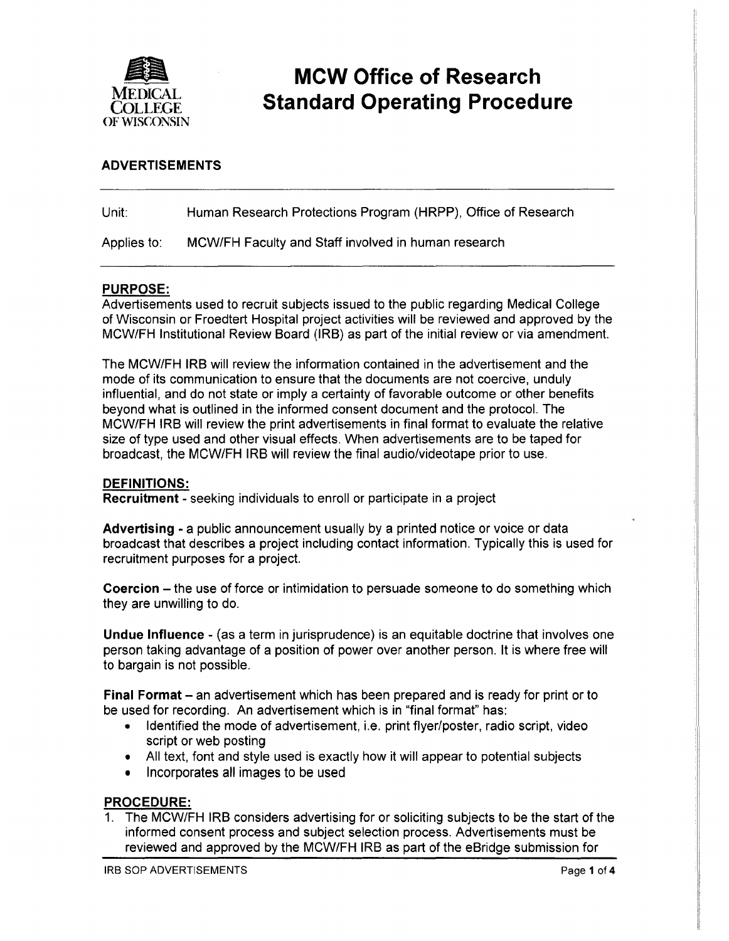

# **MCW Office of Research Standard Operating Procedure**

### **ADVERTISEMENTS**

| Unit:       | Human Research Protections Program (HRPP), Office of Research |
|-------------|---------------------------------------------------------------|
| Applies to: | MCW/FH Faculty and Staff involved in human research           |

### **PURPOSE:**

Advertisements used to recruit subjects issued to the public regarding Medical College of Wisconsin or Froedtert Hospital project activities will be reviewed and approved by the MCW/FH Institutional Review Board (IRB) as part of the initial review or via amendment.

The MCW/FH IRB will review the information contained in the advertisement and the mode of its communication to ensure that the documents are not coercive, unduly influential, and do not state or imply a certainty of favorable outcome or other benefits beyond what is outlined in the informed consent document and the protocol. The MCW/FH IRB will review the print advertisements in final format to evaluate the relative size of type used and other visual effects. When advertisements are to be taped for broadcast, the MCW/FH IRB will review the final audio/videotape prior to use.

#### **DEFINITIONS:**

**Recruitment** - seeking individuals to enroll or participate in a project

**Advertising** - a public announcement usually by a printed notice or voice or data broadcast that describes a project including contact information. Typically this is used for recruitment purposes for a project.

**Coercion** – the use of force or intimidation to persuade someone to do something which they are unwilling to do.

**Undue Influence-** (as a term in jurisprudence) is an equitable doctrine that involves one person taking advantage of a position of power over another person. It is where free will to bargain is not possible.

**Final Format-** an advertisement which has been prepared and is ready for print or to be used for recording. An advertisement which is in "final format" has:

- Identified the mode of advertisement, i.e. print flyer/poster, radio script, video script or web posting
- All text, font and style used is exactly how it will appear to potential subjects
- Incorporates all images to be used

#### **PROCEDURE:**

1. The MCW/FH IRB considers advertising for or soliciting subjects to be the start of the informed consent process and subject selection process. Advertisements must be reviewed and approved by the MCW/FH IRB as part of the eBridge submission for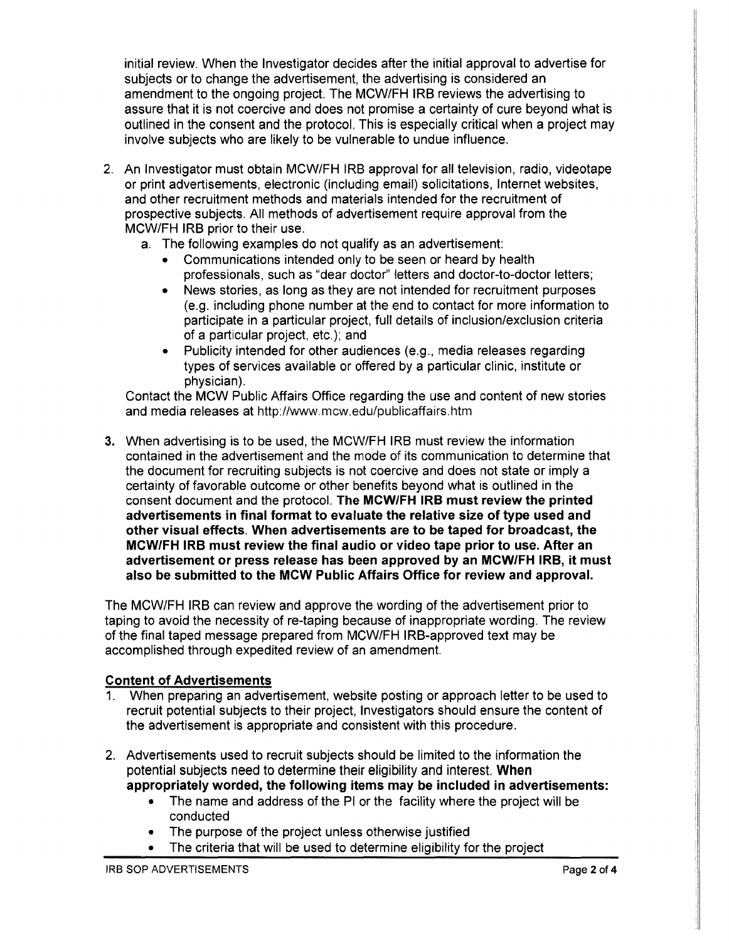initial review. When the Investigator decides after the initial approval to advertise for subjects or to change the advertisement, the advertising is considered an amendment to the ongoing project. The MCW/FH IRB reviews the advertising to assure that it is not coercive and does not promise a certainty of cure beyond what is outlined in the consent and the protocol. This is especially critical when a project may involve subjects who are likely to be vulnerable to undue influence.

- 2. An Investigator must obtain MCW/FH IRB approval for all television, radio, videotape or print advertisements, electronic (including email) solicitations, Internet websites, and other recruitment methods and materials intended for the recruitment of prospective subjects. All methods of advertisement require approval from the MCW/FH IRB prior to their use.
	- a. The following examples do not qualify as an advertisement:
		- Communications intended only to be seen or heard by health professionals, such as "dear doctor'' letters and doctor-to-doctor letters;
		- News stories, as long as they are not intended for recruitment purposes (e.g. including phone number at the end to contact for more information to participate in a particular project, full details of inclusion/exclusion criteria of a particular project, etc.); and
		- Publicity intended for other audiences (e.g., media releases regarding types of services available or offered by a particular clinic, institute or physician).

Contact the MCW Public Affairs Office regarding the use and content of new stories and media releases at http://www.mcw.edu/publicaffairs.htm

3. When advertising is to be used, the MCW/FH IRB must review the information contained in the advertisement and the mode of its communication to determine that the document for recruiting subjects is not coercive and does not state or imply a certainty of favorable outcome or other benefits beyond what is outlined in the consent document and the protocol. **The MCW/FH IRB must review the printed advertisements in final format to evaluate the relative size of type used and other visual effects. When advertisements are to be taped for broadcast, the MCW/FH IRB must review the final audio or video tape prior to use. After an advertisement or press release has been approved by an MCW/FH IRB, it must also be submitted to the MCW Public Affairs Office for review and approval.** 

The MCW/FH IRB can review and approve the wording of the advertisement prior to taping to avoid the necessity of re-taping because of inappropriate wording. The review of the final taped message prepared from MCW/FH IRS-approved text may be accomplished through expedited review of an amendment.

## **Content of Advertisements**

- 1. When preparing an advertisement, website posting or approach letter to be used to recruit potential subjects to their project, Investigators should ensure the content of the advertisement is appropriate and consistent with this procedure.
- 2. Advertisements used to recruit subjects should be limited to the information the potential subjects need to determine their eligibility and interest. **When appropriately worded, the following items may be included in advertisements:** 
	- The name and address of the PI or the facility where the project will be conducted
	- The purpose of the project unless otherwise justified
	- The criteria that will be used to determine eligibility for the project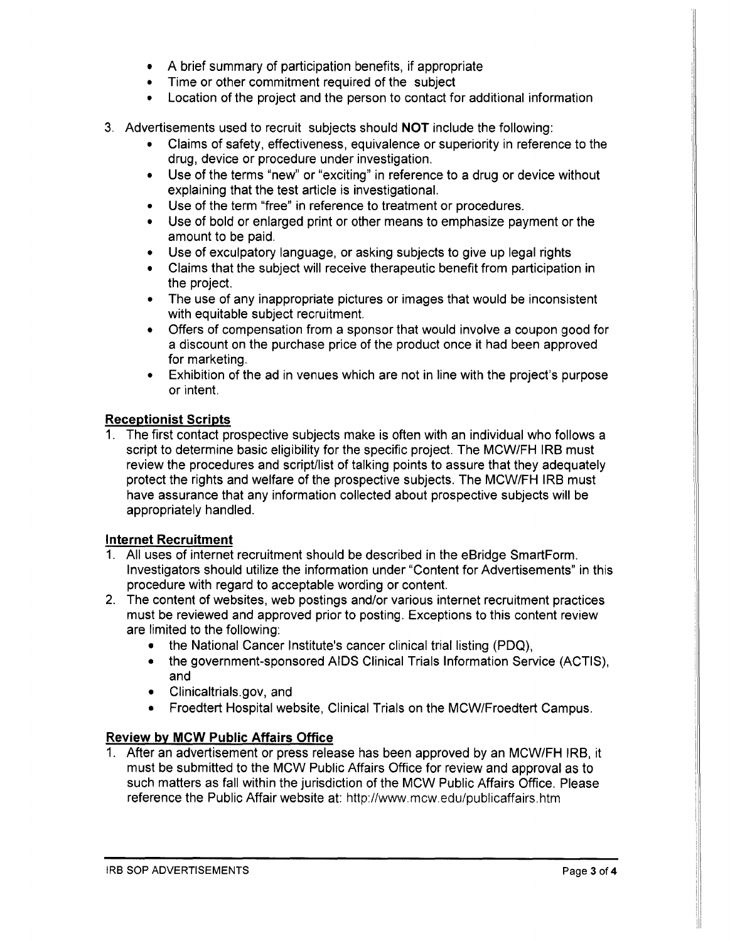- A brief summary of participation benefits, if appropriate
- Time or other commitment required of the subject
- Location of the project and the person to contact for additional information
- 3. Advertisements used to recruit subjects should **NOT** include the following:
	- Claims of safety, effectiveness, equivalence or superiority in reference to the drug, device or procedure under investigation.
	- Use of the terms "new" or "exciting" in reference to a drug or device without explaining that the test article is investigational.
	- Use of the term "free" in reference to treatment or procedures.
	- Use of bold or enlarged print or other means to emphasize payment or the amount to be paid.
	- Use of exculpatory language, or asking subjects to give up legal rights
	- Claims that the subject will receive therapeutic benefit from participation in the project.
	- The use of any inappropriate pictures or images that would be inconsistent with equitable subject recruitment.
	- Offers of compensation from a sponsor that would involve a coupon good for a discount on the purchase price of the product once it had been approved for marketing.
	- Exhibition of the ad in venues which are not in line with the project's purpose or intent.

#### **Receptionist Scripts**

1. The first contact prospective subjects make is often with an individual who follows a script to determine basic eligibility for the specific project. The MCW/FH IRB must review the procedures and script/list of talking points to assure that they adequately protect the rights and welfare of the prospective subjects. The MCW/FH IRB must have assurance that any information collected about prospective subjects will be appropriately handled.

#### **Internet Recruitment**

- 1. All uses of internet recruitment should be described in the eBridge SmartForm. Investigators should utilize the information under "Content for Advertisements" in this procedure with regard to acceptable wording or content.
- 2. The content of websites, web postings and/or various internet recruitment practices must be reviewed and approved prior to posting. Exceptions to this content review are limited to the following:
	- the National Cancer Institute's cancer clinical trial listing (PDQ).
	- the government-sponsored AIDS Clinical Trials Information Service (ACTIS), and
	- Clinicaltrials.gov, and
	- Froedtert Hospital website, Clinical Trials on the MCW/Froedtert Campus.

#### **Review by MCW Public Affairs Office**

1. After an advertisement or press release has been approved by an MCW/FH IRB, it must be submitted to the MCW Public Affairs Office for review and approval as to such matters as fall within the jurisdiction of the MCW Public Affairs Office. Please reference the Public Affair website at: http://www.mcw.edu/publicaffairs.htm